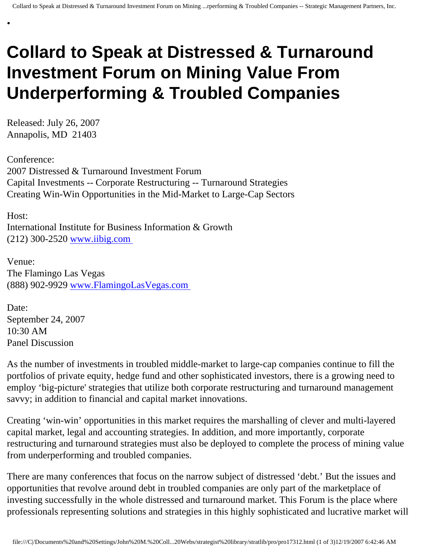## **Collard to Speak at Distressed & Turnaround Investment Forum on Mining Value From Underperforming & Troubled Companies**

Released: July 26, 2007 Annapolis, MD 21403

•

Conference: 2007 Distressed & Turnaround Investment Forum Capital Investments -- Corporate Restructuring -- Turnaround Strategies Creating Win-Win Opportunities in the Mid-Market to Large-Cap Sectors

Host: International Institute for Business Information & Growth (212) 300-2520 [www.iibig.com](http://www.iibig.com/)

Venue: The Flamingo Las Vegas (888) 902-9929 [www.FlamingoLasVegas.com](http://www.flamingolasvegas.com/)

Date: September 24, 2007 10:30 AM Panel Discussion

As the number of investments in troubled middle-market to large-cap companies continue to fill the portfolios of private equity, hedge fund and other sophisticated investors, there is a growing need to employ 'big-picture' strategies that utilize both corporate restructuring and turnaround management savvy; in addition to financial and capital market innovations.

Creating 'win-win' opportunities in this market requires the marshalling of clever and multi-layered capital market, legal and accounting strategies. In addition, and more importantly, corporate restructuring and turnaround strategies must also be deployed to complete the process of mining value from underperforming and troubled companies.

There are many conferences that focus on the narrow subject of distressed 'debt.' But the issues and opportunities that revolve around debt in troubled companies are only part of the marketplace of investing successfully in the whole distressed and turnaround market. This Forum is the place where professionals representing solutions and strategies in this highly sophisticated and lucrative market will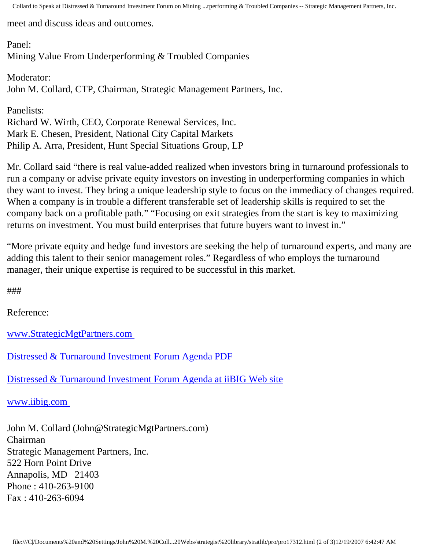Collard to Speak at Distressed & Turnaround Investment Forum on Mining ...rperforming & Troubled Companies -- Strategic Management Partners, Inc.

meet and discuss ideas and outcomes.

Panel: Mining Value From Underperforming & Troubled Companies

Moderator: John M. Collard, CTP, Chairman, Strategic Management Partners, Inc.

Panelists: Richard W. Wirth, CEO, Corporate Renewal Services, Inc. Mark E. Chesen, President, National City Capital Markets Philip A. Arra, President, Hunt Special Situations Group, LP

Mr. Collard said "there is real value-added realized when investors bring in turnaround professionals to run a company or advise private equity investors on investing in underperforming companies in which they want to invest. They bring a unique leadership style to focus on the immediacy of changes required. When a company is in trouble a different transferable set of leadership skills is required to set the company back on a profitable path." "Focusing on exit strategies from the start is key to maximizing returns on investment. You must build enterprises that future buyers want to invest in."

"More private equity and hedge fund investors are seeking the help of turnaround experts, and many are adding this talent to their senior management roles." Regardless of who employs the turnaround manager, their unique expertise is required to be successful in this market.

###

Reference:

[www.StrategicMgtPartners.com](http://www.strategicmgtpartners.com/)

[Distressed & Turnaround Investment Forum Agenda PDF](http://members.aol.com/Strategist/iibigdtinv07.pdf)

[Distressed & Turnaround Investment Forum Agenda at iiBIG Web site](http://www.iibig.com/conferences/F0701/overview.html)

[www.iibig.com](http://www.iibig.com/)

John M. Collard (John@StrategicMgtPartners.com) Chairman Strategic Management Partners, Inc. 522 Horn Point Drive Annapolis, MD 21403 Phone : 410-263-9100 Fax : 410-263-6094